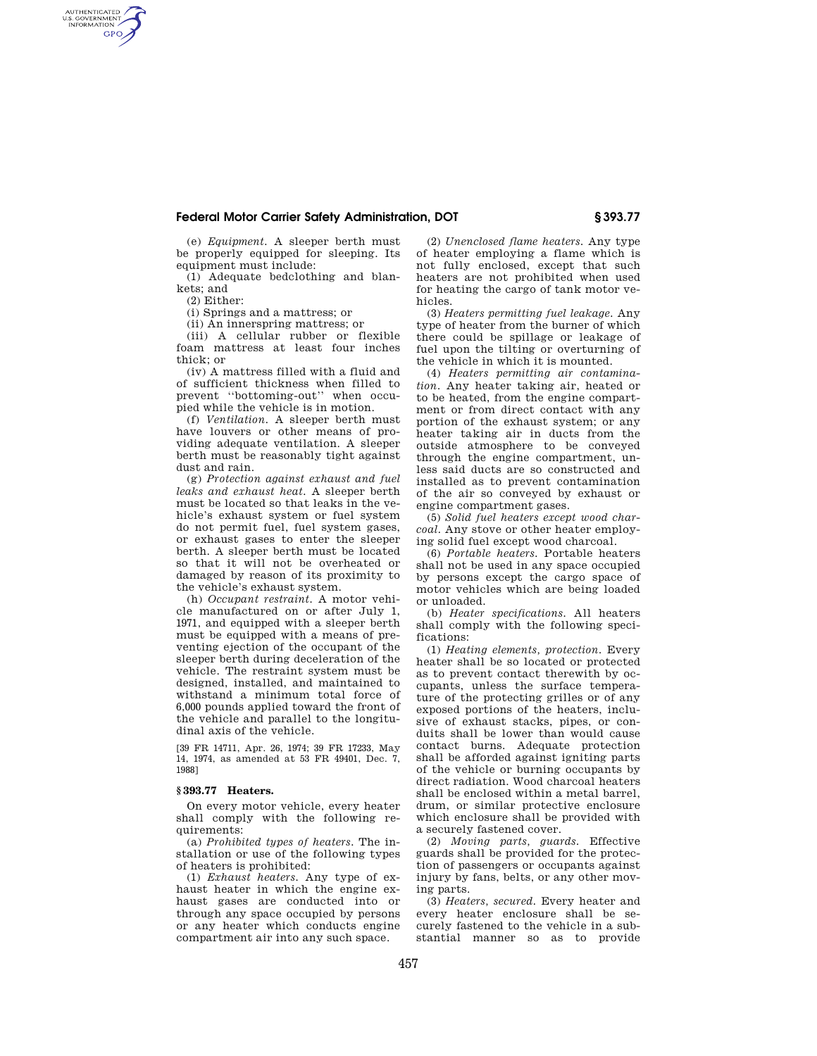## **Federal Motor Carrier Safety Administration, DOT § 393.77**

(e) *Equipment.* A sleeper berth must be properly equipped for sleeping. Its equipment must include:

(1) Adequate bedclothing and blankets; and

(2) Either:

AUTHENTICATED<br>U.S. GOVERNMENT<br>INFORMATION **GPO** 

(i) Springs and a mattress; or

(ii) An innerspring mattress; or

(iii) A cellular rubber or flexible foam mattress at least four inches thick; or

(iv) A mattress filled with a fluid and of sufficient thickness when filled to prevent ''bottoming-out'' when occupied while the vehicle is in motion.

(f) *Ventilation.* A sleeper berth must have louvers or other means of providing adequate ventilation. A sleeper berth must be reasonably tight against dust and rain.

(g) *Protection against exhaust and fuel leaks and exhaust heat.* A sleeper berth must be located so that leaks in the vehicle's exhaust system or fuel system do not permit fuel, fuel system gases, or exhaust gases to enter the sleeper berth. A sleeper berth must be located so that it will not be overheated or damaged by reason of its proximity to the vehicle's exhaust system.

(h) *Occupant restraint.* A motor vehicle manufactured on or after July 1, 1971, and equipped with a sleeper berth must be equipped with a means of preventing ejection of the occupant of the sleeper berth during deceleration of the vehicle. The restraint system must be designed, installed, and maintained to withstand a minimum total force of 6,000 pounds applied toward the front of the vehicle and parallel to the longitudinal axis of the vehicle.

[39 FR 14711, Apr. 26, 1974; 39 FR 17233, May 14, 1974, as amended at 53 FR 49401, Dec. 7, 1988]

## **§ 393.77 Heaters.**

On every motor vehicle, every heater shall comply with the following requirements:

(a) *Prohibited types of heaters.* The installation or use of the following types of heaters is prohibited:

(1) *Exhaust heaters.* Any type of exhaust heater in which the engine exhaust gases are conducted into or through any space occupied by persons or any heater which conducts engine compartment air into any such space.

(2) *Unenclosed flame heaters.* Any type of heater employing a flame which is not fully enclosed, except that such heaters are not prohibited when used for heating the cargo of tank motor vehicles.

(3) *Heaters permitting fuel leakage.* Any type of heater from the burner of which there could be spillage or leakage of fuel upon the tilting or overturning of the vehicle in which it is mounted.

(4) *Heaters permitting air contamination.* Any heater taking air, heated or to be heated, from the engine compartment or from direct contact with any portion of the exhaust system; or any heater taking air in ducts from the outside atmosphere to be conveyed through the engine compartment, unless said ducts are so constructed and installed as to prevent contamination of the air so conveyed by exhaust or engine compartment gases.

(5) *Solid fuel heaters except wood charcoal.* Any stove or other heater employing solid fuel except wood charcoal.

(6) *Portable heaters.* Portable heaters shall not be used in any space occupied by persons except the cargo space of motor vehicles which are being loaded or unloaded.

(b) *Heater specifications.* All heaters shall comply with the following specifications:

(1) *Heating elements, protection.* Every heater shall be so located or protected as to prevent contact therewith by occupants, unless the surface temperature of the protecting grilles or of any exposed portions of the heaters, inclusive of exhaust stacks, pipes, or conduits shall be lower than would cause contact burns. Adequate protection shall be afforded against igniting parts of the vehicle or burning occupants by direct radiation. Wood charcoal heaters shall be enclosed within a metal barrel, drum, or similar protective enclosure which enclosure shall be provided with a securely fastened cover.

(2) *Moving parts, guards.* Effective guards shall be provided for the protection of passengers or occupants against injury by fans, belts, or any other moving parts.

(3) *Heaters, secured.* Every heater and every heater enclosure shall be securely fastened to the vehicle in a substantial manner so as to provide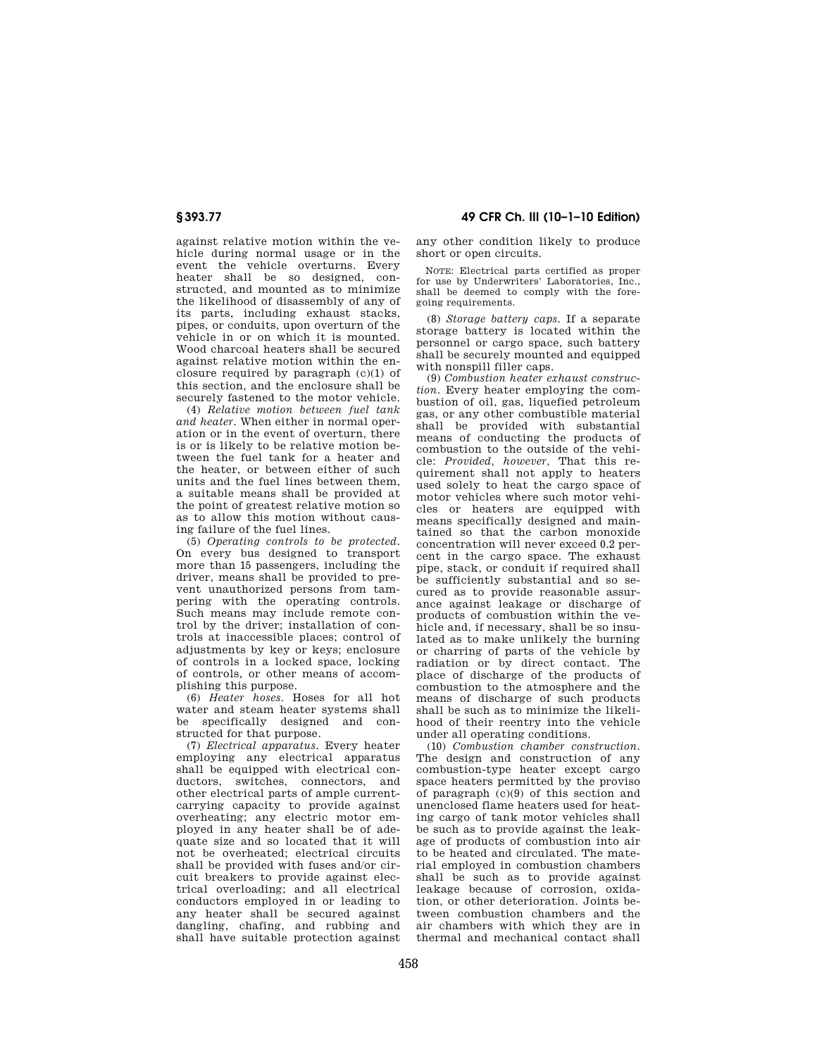against relative motion within the vehicle during normal usage or in the event the vehicle overturns. Every heater shall be so designed, constructed, and mounted as to minimize the likelihood of disassembly of any of its parts, including exhaust stacks, pipes, or conduits, upon overturn of the vehicle in or on which it is mounted. Wood charcoal heaters shall be secured against relative motion within the enclosure required by paragraph (c)(1) of this section, and the enclosure shall be securely fastened to the motor vehicle.

(4) *Relative motion between fuel tank and heater.* When either in normal operation or in the event of overturn, there is or is likely to be relative motion between the fuel tank for a heater and the heater, or between either of such units and the fuel lines between them, a suitable means shall be provided at the point of greatest relative motion so as to allow this motion without causing failure of the fuel lines.

(5) *Operating controls to be protected.*  On every bus designed to transport more than 15 passengers, including the driver, means shall be provided to prevent unauthorized persons from tampering with the operating controls. Such means may include remote control by the driver; installation of controls at inaccessible places; control of adiustments by key or keys; enclosure of controls in a locked space, locking of controls, or other means of accomplishing this purpose.

(6) *Heater hoses.* Hoses for all hot water and steam heater systems shall be specifically designed and constructed for that purpose.

(7) *Electrical apparatus.* Every heater employing any electrical apparatus shall be equipped with electrical conductors, switches, connectors, and other electrical parts of ample currentcarrying capacity to provide against overheating; any electric motor employed in any heater shall be of adequate size and so located that it will not be overheated; electrical circuits shall be provided with fuses and/or circuit breakers to provide against electrical overloading; and all electrical conductors employed in or leading to any heater shall be secured against dangling, chafing, and rubbing and shall have suitable protection against

**§ 393.77 49 CFR Ch. III (10–1–10 Edition)** 

any other condition likely to produce short or open circuits.

NOTE: Electrical parts certified as proper for use by Underwriters' Laboratories, Inc., shall be deemed to comply with the foregoing requirements.

(8) *Storage battery caps.* If a separate storage battery is located within the personnel or cargo space, such battery shall be securely mounted and equipped with nonspill filler caps.

(9) *Combustion heater exhaust construction.* Every heater employing the combustion of oil, gas, liquefied petroleum gas, or any other combustible material shall be provided with substantial means of conducting the products of combustion to the outside of the vehicle: *Provided, however,* That this requirement shall not apply to heaters used solely to heat the cargo space of motor vehicles where such motor vehicles or heaters are equipped with means specifically designed and maintained so that the carbon monoxide concentration will never exceed 0.2 percent in the cargo space. The exhaust pipe, stack, or conduit if required shall be sufficiently substantial and so secured as to provide reasonable assurance against leakage or discharge of products of combustion within the vehicle and, if necessary, shall be so insulated as to make unlikely the burning or charring of parts of the vehicle by radiation or by direct contact. The place of discharge of the products of combustion to the atmosphere and the means of discharge of such products shall be such as to minimize the likelihood of their reentry into the vehicle under all operating conditions.

(10) *Combustion chamber construction.*  The design and construction of any combustion-type heater except cargo space heaters permitted by the proviso of paragraph (c)(9) of this section and unenclosed flame heaters used for heating cargo of tank motor vehicles shall be such as to provide against the leakage of products of combustion into air to be heated and circulated. The material employed in combustion chambers shall be such as to provide against leakage because of corrosion, oxidation, or other deterioration. Joints between combustion chambers and the air chambers with which they are in thermal and mechanical contact shall